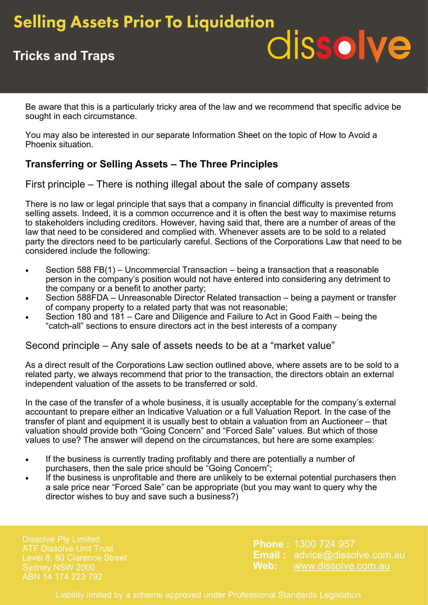## **Selling Assets Prior To Liquidation**

# dissolve

## **Tricks and Traps**

Be aware that this is a particularly tricky area of the law and we recommend that specific advice be sought in each circumstance.

You may also be interested in our separate Information Sheet on the topic of How to Avoid a Phoenix situation.

### **Transferring or Selling Assets – The Three Principles**

First principle – There is nothing illegal about the sale of company assets

There is no law or legal principle that says that a company in financial difficulty is prevented from selling assets. Indeed, it is a common occurrence and it is often the best way to maximise returns to stakeholders including creditors. However, having said that, there are a number of areas of the law that need to be considered and complied with. Whenever assets are to be sold to a related party the directors need to be particularly careful. Sections of the Corporations Law that need to be considered include the following:

- Section 588 FB(1) Uncommercial Transaction being a transaction that a reasonable person in the company's position would not have entered into considering any detriment to the company or a benefit to another party;
- Section 588FDA Unreasonable Director Related transaction being a payment or transfer of company property to a related party that was not reasonable;
- Section 180 and 181 Care and Diligence and Failure to Act in Good Faith being the "catch-all" sections to ensure directors act in the best interests of a company

Second principle – Any sale of assets needs to be at a "market value"

As a direct result of the Corporations Law section outlined above, where assets are to be sold to a related party, we always recommend that prior to the transaction, the directors obtain an external independent valuation of the assets to be transferred or sold.

In the case of the transfer of a whole business, it is usually acceptable for the company's external accountant to prepare either an Indicative Valuation or a full Valuation Report. In the case of the transfer of plant and equipment it is usually best to obtain a valuation from an Auctioneer – that valuation should provide both "Going Concern" and "Forced Sale" values. But which of those values to use? The answer will depend on the circumstances, but here are some examples:

- If the business is currently trading profitably and there are potentially a number of purchasers, then the sale price should be "Going Concern";
- If the business is unprofitable and there are unlikely to be external potential purchasers then a sale price near "Forced Sale" can be appropriate (but you may want to query why the director wishes to buy and save such a business?)

Dissolve Pty Limited Level 8, 80 Clarence Street ABN 14 174 223 792

**Phone :** 1300 724 957 **Email :** advice@dissolve.com.au **Web:** www.dissolve.com.au

Liability limited by a scheme approved under Professional Standards Legislation